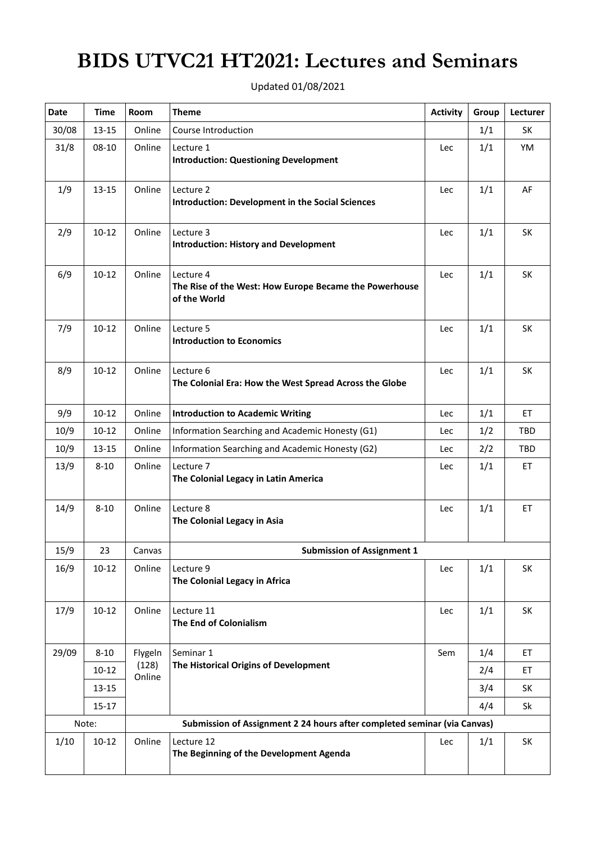## **BIDS UTVC21 HT2021: Lectures and Seminars**

| <b>Date</b>                                                                       | <b>Time</b> | Room            | <b>Theme</b>                                                                        | <b>Activity</b> | Group | Lecturer |  |  |  |
|-----------------------------------------------------------------------------------|-------------|-----------------|-------------------------------------------------------------------------------------|-----------------|-------|----------|--|--|--|
| 30/08                                                                             | 13-15       | Online          | Course Introduction                                                                 |                 | 1/1   | SK       |  |  |  |
| 31/8                                                                              | 08-10       | Online          | Lecture 1<br><b>Introduction: Questioning Development</b>                           | Lec             | 1/1   | YM       |  |  |  |
| 1/9                                                                               | $13 - 15$   | Online          | Lecture 2<br><b>Introduction: Development in the Social Sciences</b>                | Lec             | 1/1   | AF       |  |  |  |
| 2/9                                                                               | $10 - 12$   | Online          | Lecture 3<br><b>Introduction: History and Development</b>                           | Lec             | 1/1   | SK       |  |  |  |
| 6/9                                                                               | $10 - 12$   | Online          | Lecture 4<br>The Rise of the West: How Europe Became the Powerhouse<br>of the World | Lec             | 1/1   | SK       |  |  |  |
| 7/9                                                                               | $10 - 12$   | Online          | Lecture 5<br><b>Introduction to Economics</b>                                       | Lec             | 1/1   | SK       |  |  |  |
| 8/9                                                                               | $10 - 12$   | Online          | Lecture 6<br>The Colonial Era: How the West Spread Across the Globe                 | Lec             | 1/1   | SK       |  |  |  |
| 9/9                                                                               | $10 - 12$   | Online          | <b>Introduction to Academic Writing</b>                                             | Lec             | 1/1   | ET       |  |  |  |
| 10/9                                                                              | $10 - 12$   | Online          | Information Searching and Academic Honesty (G1)                                     | Lec             | 1/2   | TBD      |  |  |  |
| 10/9                                                                              | $13 - 15$   | Online          | Information Searching and Academic Honesty (G2)                                     | Lec             | 2/2   | TBD      |  |  |  |
| 13/9                                                                              | $8 - 10$    | Online          | Lecture 7<br>The Colonial Legacy in Latin America                                   | Lec             | 1/1   | ET       |  |  |  |
| 14/9                                                                              | $8 - 10$    | Online          | Lecture 8<br>The Colonial Legacy in Asia                                            | Lec             | 1/1   | ET       |  |  |  |
| 15/9                                                                              | 23          | Canvas          | <b>Submission of Assignment 1</b>                                                   |                 |       |          |  |  |  |
| 16/9                                                                              | $10 - 12$   | Online          | Lecture 9<br>The Colonial Legacy in Africa                                          | Lec             | 1/1   | SK       |  |  |  |
| 17/9                                                                              | $10 - 12$   | Online          | Lecture 11<br>The End of Colonialism                                                | Lec             | 1/1   | SK       |  |  |  |
| 29/09                                                                             | $8 - 10$    | Flygeln         | Seminar 1                                                                           | Sem             | 1/4   | ET       |  |  |  |
|                                                                                   | $10 - 12$   | (128)<br>Online | The Historical Origins of Development                                               |                 | 2/4   | ET       |  |  |  |
|                                                                                   | 13-15       |                 |                                                                                     |                 | 3/4   | SK       |  |  |  |
|                                                                                   | $15 - 17$   |                 |                                                                                     |                 | 4/4   | Sk       |  |  |  |
| Note:<br>Submission of Assignment 2 24 hours after completed seminar (via Canvas) |             |                 |                                                                                     |                 |       |          |  |  |  |
| 1/10                                                                              | $10 - 12$   | Online          | Lecture 12<br>The Beginning of the Development Agenda                               | Lec             | 1/1   | SK       |  |  |  |

Updated 01/08/2021